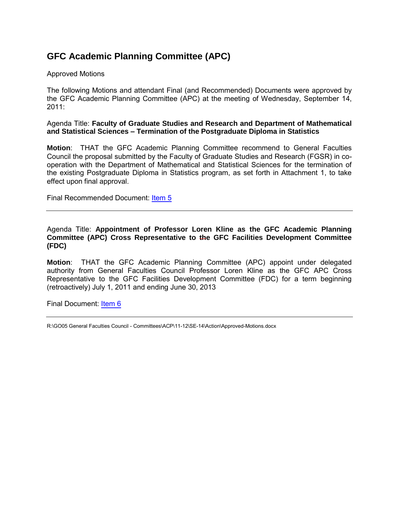# **GFC Academic Planning Committee (APC)**

## Approved Motions

The following Motions and attendant Final (and Recommended) Documents were approved by the GFC Academic Planning Committee (APC) at the meeting of Wednesday, September 14, 2011:

## Agenda Title: **Faculty of Graduate Studies and Research and Department of Mathematical and Statistical Sciences – Termination of the Postgraduate Diploma in Statistics**

**Motion**: THAT the GFC Academic Planning Committee recommend to General Faculties Council the proposal submitted by the Faculty of Graduate Studies and Research (FGSR) in cooperation with the Department of Mathematical and Statistical Sciences for the termination of the existing Postgraduate Diploma in Statistics program, as set forth in Attachment 1, to take effect upon final approval.

Final Recommended Document: [Item 5](#page-1-0)

### Agenda Title: **Appointment of Professor Loren Kline as the GFC Academic Planning Committee (APC) Cross Representative to the GFC Facilities Development Committee (FDC)**

**Motion**: THAT the GFC Academic Planning Committee (APC) appoint under delegated authority from General Faculties Council Professor Loren Kline as the GFC APC Cross Representative to the GFC Facilities Development Committee (FDC) for a term beginning (retroactively) July 1, 2011 and ending June 30, 2013

Final Document: [Item 6](#page-6-0)

R:\GO05 General Faculties Council - Committees\ACP\11-12\SE-14\Action\Approved-Motions.docx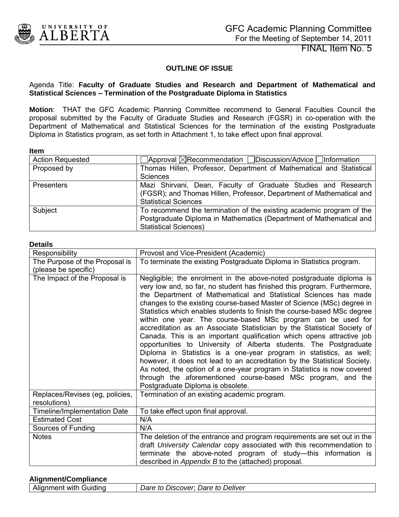<span id="page-1-0"></span>

FINAL Item No. 5

# **OUTLINE OF ISSUE**

### Agenda Title: **Faculty of Graduate Studies and Research and Department of Mathematical and Statistical Sciences – Termination of the Postgraduate Diploma in Statistics**

**Motion**: THAT the GFC Academic Planning Committee recommend to General Faculties Council the proposal submitted by the Faculty of Graduate Studies and Research (FGSR) in co-operation with the Department of Mathematical and Statistical Sciences for the termination of the existing Postgraduate Diploma in Statistics program, as set forth in Attachment 1, to take effect upon final approval.

#### **Item**

| <b>Action Requested</b> | $\Box$ Approval $\boxtimes$ Recommendation $\Box$ Discussion/Advice $\Box$ Information                                                                                      |
|-------------------------|-----------------------------------------------------------------------------------------------------------------------------------------------------------------------------|
| Proposed by             | Thomas Hillen, Professor, Department of Mathematical and Statistical<br>Sciences                                                                                            |
| <b>Presenters</b>       | Mazi Shirvani, Dean, Faculty of Graduate Studies and Research<br>(FGSR); and Thomas Hillen, Professor, Department of Mathematical and<br><b>Statistical Sciences</b>        |
| Subject                 | To recommend the termination of the existing academic program of the<br>Postgraduate Diploma in Mathematics (Department of Mathematical and<br><b>Statistical Sciences)</b> |

#### **Details**

| Responsibility                                  | Provost and Vice-President (Academic)                                                                                                                                                                                                                                                                                                                                                                                                                                                                                                                                                                                                                                                                                                                                                                                                                                                                                                                                                                    |
|-------------------------------------------------|----------------------------------------------------------------------------------------------------------------------------------------------------------------------------------------------------------------------------------------------------------------------------------------------------------------------------------------------------------------------------------------------------------------------------------------------------------------------------------------------------------------------------------------------------------------------------------------------------------------------------------------------------------------------------------------------------------------------------------------------------------------------------------------------------------------------------------------------------------------------------------------------------------------------------------------------------------------------------------------------------------|
| The Purpose of the Proposal is                  | To terminate the existing Postgraduate Diploma in Statistics program.                                                                                                                                                                                                                                                                                                                                                                                                                                                                                                                                                                                                                                                                                                                                                                                                                                                                                                                                    |
| (please be specific)                            |                                                                                                                                                                                                                                                                                                                                                                                                                                                                                                                                                                                                                                                                                                                                                                                                                                                                                                                                                                                                          |
| The Impact of the Proposal is                   | Negligible; the enrolment in the above-noted postgraduate diploma is<br>very low and, so far, no student has finished this program. Furthermore,<br>the Department of Mathematical and Statistical Sciences has made<br>changes to the existing course-based Master of Science (MSc) degree in<br>Statistics which enables students to finish the course-based MSc degree<br>within one year. The course-based MSc program can be used for<br>accreditation as an Associate Statistician by the Statistical Society of<br>Canada. This is an important qualification which opens attractive job<br>opportunities to University of Alberta students. The Postgraduate<br>Diploma in Statistics is a one-year program in statistics, as well;<br>however, it does not lead to an accreditation by the Statistical Society.<br>As noted, the option of a one-year program in Statistics is now covered<br>through the aforementioned course-based MSc program, and the<br>Postgraduate Diploma is obsolete. |
| Replaces/Revises (eg, policies,<br>resolutions) | Termination of an existing academic program.                                                                                                                                                                                                                                                                                                                                                                                                                                                                                                                                                                                                                                                                                                                                                                                                                                                                                                                                                             |
| Timeline/Implementation Date                    | To take effect upon final approval.                                                                                                                                                                                                                                                                                                                                                                                                                                                                                                                                                                                                                                                                                                                                                                                                                                                                                                                                                                      |
| <b>Estimated Cost</b>                           | N/A                                                                                                                                                                                                                                                                                                                                                                                                                                                                                                                                                                                                                                                                                                                                                                                                                                                                                                                                                                                                      |
| Sources of Funding                              | N/A                                                                                                                                                                                                                                                                                                                                                                                                                                                                                                                                                                                                                                                                                                                                                                                                                                                                                                                                                                                                      |
| <b>Notes</b>                                    | The deletion of the entrance and program requirements are set out in the<br>draft University Calendar copy associated with this recommendation to<br>terminate the above-noted program of study-this information is<br>described in Appendix B to the (attached) proposal.                                                                                                                                                                                                                                                                                                                                                                                                                                                                                                                                                                                                                                                                                                                               |

### **Alignment/Compliance**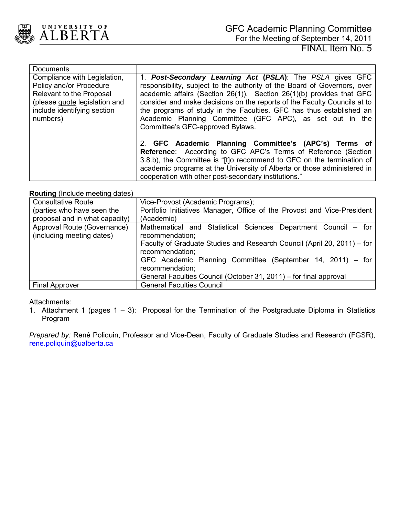

| <b>Documents</b>              |                                                                          |
|-------------------------------|--------------------------------------------------------------------------|
| Compliance with Legislation,  | 1. Post-Secondary Learning Act (PSLA): The PSLA gives GFC                |
| Policy and/or Procedure       | responsibility, subject to the authority of the Board of Governors, over |
| Relevant to the Proposal      | academic affairs (Section 26(1)). Section 26(1)(b) provides that GFC     |
| (please quote legislation and | consider and make decisions on the reports of the Faculty Councils at to |
| include identifying section   | the programs of study in the Faculties. GFC has thus established an      |
| numbers)                      | Academic Planning Committee (GFC APC), as set out in the                 |
|                               | Committee's GFC-approved Bylaws.                                         |
|                               |                                                                          |
|                               | 2. GFC Academic Planning Committee's (APC's) Terms of                    |
|                               | <b>Reference:</b> According to GFC APC's Terms of Reference (Section     |
|                               | 3.8.b), the Committee is "[t]o recommend to GFC on the termination of    |
|                               | academic programs at the University of Alberta or those administered in  |
|                               | cooperation with other post-secondary institutions."                     |

## **Routing** (Include meeting dates)

| <b>Consultative Route</b>                                | Vice-Provost (Academic Programs);                                                                                                                                                                                                                                                                                                     |
|----------------------------------------------------------|---------------------------------------------------------------------------------------------------------------------------------------------------------------------------------------------------------------------------------------------------------------------------------------------------------------------------------------|
| (parties who have seen the                               | Portfolio Initiatives Manager, Office of the Provost and Vice-President                                                                                                                                                                                                                                                               |
| proposal and in what capacity)                           | (Academic)                                                                                                                                                                                                                                                                                                                            |
| Approval Route (Governance)<br>(including meeting dates) | Mathematical and Statistical Sciences Department Council – for<br>recommendation;<br>Faculty of Graduate Studies and Research Council (April 20, 2011) - for<br>recommendation;<br>GFC Academic Planning Committee (September 14, 2011) – for<br>recommendation;<br>General Faculties Council (October 31, 2011) – for final approval |
| <b>Final Approver</b>                                    | <b>General Faculties Council</b>                                                                                                                                                                                                                                                                                                      |

### Attachments:

1. Attachment 1 (pages 1 – 3): Proposal for the Termination of the Postgraduate Diploma in Statistics Program

*Prepared by:* René Poliquin, Professor and Vice-Dean, Faculty of Graduate Studies and Research (FGSR), [rene.poliquin@ualberta.ca](mailto:rene.poliquin@ualberta.ca)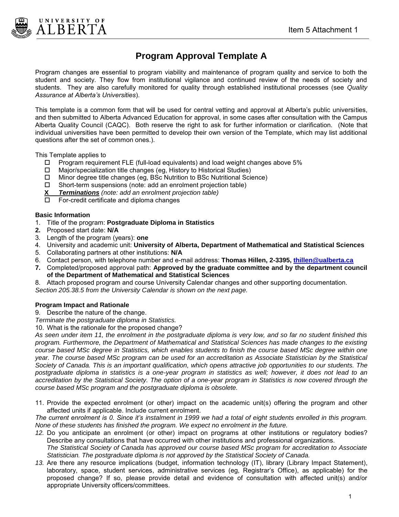



# **Program Approval Template A**

Program changes are essential to program viability and maintenance of program quality and service to both the student and society. They flow from institutional vigilance and continued review of the needs of society and students. They are also carefully monitored for quality through established institutional processes (see *Quality Assurance at Alberta's Universities*).

This template is a common form that will be used for central vetting and approval at Alberta's public universities, and then submitted to Alberta Advanced Education for approval, in some cases after consultation with the Campus Alberta Quality Council (CAQC). Both reserve the right to ask for further information or clarification. (Note that individual universities have been permitted to develop their own version of the Template, which may list additional questions after the set of common ones.).

This Template applies to

- $\Box$  Program requirement FLE (full-load equivalents) and load weight changes above 5%
- Major/specialization title changes (eg, History to Historical Studies)
- $\Box$  Minor degree title changes (eg, BSc Nutrition to BSc Nutritional Science)
- $\Box$  Short-term suspensions (note: add an enrolment projection table)
- **X** *Terminations (note: add an enrolment projection table)*
- $\Box$  For-credit certificate and diploma changes

#### **Basic Information**

- 1. Title of the program: **Postgraduate Diploma in Statistics**
- **2.** Proposed start date: **N/A**
- 3. Length of the program (years): **one**
- 4. University and academic unit: **University of Alberta, Department of Mathematical and Statistical Sciences**
- 5. Collaborating partners at other institutions: **N/A**
- 6. Contact person, with telephone number and e-mail address: **Thomas Hillen, 2-3395, [thillen@ualberta.ca](mailto:thillen@ualberta.ca)**
- **7.** Completed/proposed approval path: **Approved by the graduate committee and by the department council of the Department of Mathematical and Statistical Sciences**
- 8. Attach proposed program and course University Calendar changes and other supporting documentation.

*Section 205.38.5 from the University Calendar is shown on the next page.* 

### **Program Impact and Rationale**

- 9. Describe the nature of the change.
- *Terminate the postgraduate diploma in Statistics.*
- 10. What is the rationale for the proposed change?

*As seen under item 11, the enrolment in the postgraduate diploma is very low, and so far no student finished this program. Furthermore, the Department of Mathematical and Statistical Sciences has made changes to the existing course based MSc degree in Statistics, which enables students to finish the course based MSc degree within one year. The course based MSc program can be used for an accreditation as Associate Statistician by the Statistical Society of Canada. This is an important qualification, which opens attractive job opportunities to our students. The postgraduate diploma in statistics is a one-year program in statistics as well; however, it does not lead to an accreditation by the Statistical Society. The option of a one-year program in Statistics is now covered through the course based MSc program and the postgraduate diploma is obsolete.* 

11. Provide the expected enrolment (or other) impact on the academic unit(s) offering the program and other affected units if applicable. Include current enrolment.

*The current enrolment is 0. Since it's instalment in 1999 we had a total of eight students enrolled in this program. None of these students has finished the program. We expect no enrolment in the future.* 

- *12.* Do you anticipate an enrolment (or other) impact on programs at other institutions or regulatory bodies? Describe any consultations that have occurred with other institutions and professional organizations. *The Statistical Society of Canada has approved our course based MSc program for accreditation to Associate*
- *Statistician. The postgraduate diploma is not approved by the Statistical Society of Canada. 13.* Are there any resource implications (budget, information technology (IT), library (Library Impact Statement),
- laboratory, space, student services, administrative services (eg, Registrar's Office), as applicable) for the proposed change? If so, please provide detail and evidence of consultation with affected unit(s) and/or appropriate University officers/committees.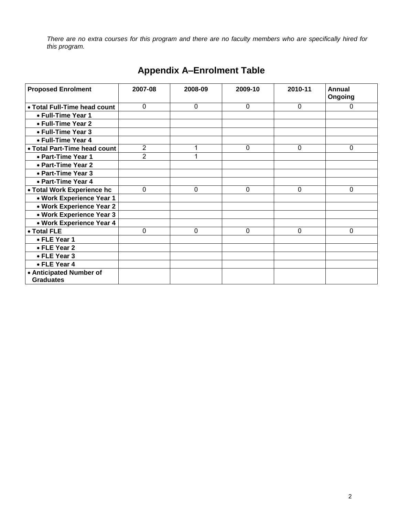*There are no extra courses for this program and there are no faculty members who are specifically hired for this program.* 

| <b>Proposed Enrolment</b>                   | 2007-08        | 2008-09 | 2009-10      | 2010-11      | <b>Annual</b><br>Ongoing |
|---------------------------------------------|----------------|---------|--------------|--------------|--------------------------|
| • Total Full-Time head count                | 0              | 0       | $\mathbf{0}$ | $\mathbf{0}$ | 0                        |
| • Full-Time Year 1                          |                |         |              |              |                          |
| • Full-Time Year 2                          |                |         |              |              |                          |
| • Full-Time Year 3                          |                |         |              |              |                          |
| • Full-Time Year 4                          |                |         |              |              |                          |
| • Total Part-Time head count                | $\overline{2}$ |         | 0            | 0            | 0                        |
| • Part-Time Year 1                          | 2              |         |              |              |                          |
| • Part-Time Year 2                          |                |         |              |              |                          |
| • Part-Time Year 3                          |                |         |              |              |                          |
| • Part-Time Year 4                          |                |         |              |              |                          |
| • Total Work Experience hc                  | 0              | 0       | 0            | 0            | 0                        |
| • Work Experience Year 1                    |                |         |              |              |                          |
| • Work Experience Year 2                    |                |         |              |              |                          |
| • Work Experience Year 3                    |                |         |              |              |                          |
| • Work Experience Year 4                    |                |         |              |              |                          |
| • Total FLE                                 | 0              | 0       | 0            | 0            | 0                        |
| • FLE Year 1                                |                |         |              |              |                          |
| • FLE Year 2                                |                |         |              |              |                          |
| • FLE Year 3                                |                |         |              |              |                          |
| • FLE Year 4                                |                |         |              |              |                          |
| • Anticipated Number of<br><b>Graduates</b> |                |         |              |              |                          |

# **Appendix A–Enrolment Table**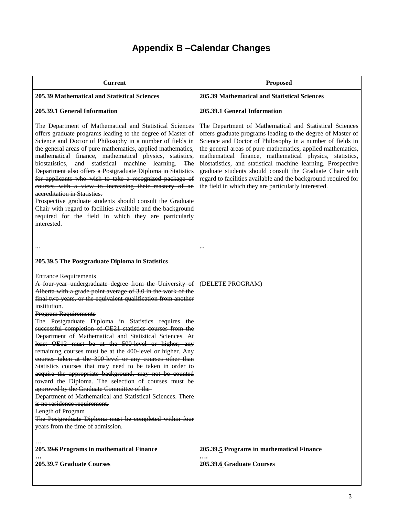# **Appendix B –Calendar Changes**

| <b>Current</b>                                                                                                                                                                                                                                                                                                                                                                                                                                                                                                                                                                                                                                                                                                                                                                                                                                                                                                                                                                                                                                                                      | <b>Proposed</b>                                                                                                                                                                                                                                                                                                                                                                                                                                                                                                                                                     |
|-------------------------------------------------------------------------------------------------------------------------------------------------------------------------------------------------------------------------------------------------------------------------------------------------------------------------------------------------------------------------------------------------------------------------------------------------------------------------------------------------------------------------------------------------------------------------------------------------------------------------------------------------------------------------------------------------------------------------------------------------------------------------------------------------------------------------------------------------------------------------------------------------------------------------------------------------------------------------------------------------------------------------------------------------------------------------------------|---------------------------------------------------------------------------------------------------------------------------------------------------------------------------------------------------------------------------------------------------------------------------------------------------------------------------------------------------------------------------------------------------------------------------------------------------------------------------------------------------------------------------------------------------------------------|
| 205.39 Mathematical and Statistical Sciences                                                                                                                                                                                                                                                                                                                                                                                                                                                                                                                                                                                                                                                                                                                                                                                                                                                                                                                                                                                                                                        | <b>205.39 Mathematical and Statistical Sciences</b>                                                                                                                                                                                                                                                                                                                                                                                                                                                                                                                 |
| 205.39.1 General Information                                                                                                                                                                                                                                                                                                                                                                                                                                                                                                                                                                                                                                                                                                                                                                                                                                                                                                                                                                                                                                                        | 205.39.1 General Information                                                                                                                                                                                                                                                                                                                                                                                                                                                                                                                                        |
| The Department of Mathematical and Statistical Sciences<br>offers graduate programs leading to the degree of Master of<br>Science and Doctor of Philosophy in a number of fields in<br>the general areas of pure mathematics, applied mathematics,<br>mathematical finance, mathematical physics, statistics,<br>statistical<br>machine<br>biostatistics,<br>and<br>learning.<br><b>The</b><br>Department also offers a Postgraduate Diploma in Statistics<br>for applicants who wish to take a recognized package of<br>courses with a view to increasing their mastery of an<br>accreditation in Statistics.<br>Prospective graduate students should consult the Graduate<br>Chair with regard to facilities available and the background<br>required for the field in which they are particularly<br>interested.                                                                                                                                                                                                                                                                 | The Department of Mathematical and Statistical Sciences<br>offers graduate programs leading to the degree of Master of<br>Science and Doctor of Philosophy in a number of fields in<br>the general areas of pure mathematics, applied mathematics,<br>mathematical finance, mathematical physics, statistics,<br>biostatistics, and statistical machine learning. Prospective<br>graduate students should consult the Graduate Chair with<br>regard to facilities available and the background required for<br>the field in which they are particularly interested. |
|                                                                                                                                                                                                                                                                                                                                                                                                                                                                                                                                                                                                                                                                                                                                                                                                                                                                                                                                                                                                                                                                                     |                                                                                                                                                                                                                                                                                                                                                                                                                                                                                                                                                                     |
|                                                                                                                                                                                                                                                                                                                                                                                                                                                                                                                                                                                                                                                                                                                                                                                                                                                                                                                                                                                                                                                                                     |                                                                                                                                                                                                                                                                                                                                                                                                                                                                                                                                                                     |
| 205.39.5 The Postgraduate Diploma in Statistics                                                                                                                                                                                                                                                                                                                                                                                                                                                                                                                                                                                                                                                                                                                                                                                                                                                                                                                                                                                                                                     |                                                                                                                                                                                                                                                                                                                                                                                                                                                                                                                                                                     |
| <b>Entrance Requirements</b><br>A four-year undergraduate degree from the University of<br>Alberta with a grade point average of 3.0 in the work of the<br>final two years, or the equivalent qualification from another<br>institution.<br><b>Program Requirements</b><br>The Postgraduate Diploma in Statistics requires the<br>successful completion of OE21 statistics courses from the<br>Department of Mathematical and Statistical Sciences. At<br>least OE12 must be at the 500 level or higher; any<br>remaining courses must be at the 400 level or higher. Any<br>courses taken at the 300 level or any courses other than<br>Statistics courses that may need to be taken in order to<br>acquire the appropriate background, may not be counted<br>toward the Diploma. The selection of courses must be<br>approved by the Graduate Committee of the-<br>Department of Mathematical and Statistical Sciences. There<br>is no residence requirement.<br>Length of Program<br>The Postgraduate Diploma must be completed within four<br>years from the time of admission. | (DELETE PROGRAM)                                                                                                                                                                                                                                                                                                                                                                                                                                                                                                                                                    |
| $\overline{\cdots}$<br>205.39.6 Programs in mathematical Finance                                                                                                                                                                                                                                                                                                                                                                                                                                                                                                                                                                                                                                                                                                                                                                                                                                                                                                                                                                                                                    | 205.39.5 Programs in mathematical Finance                                                                                                                                                                                                                                                                                                                                                                                                                                                                                                                           |
| 205.39.7 Graduate Courses                                                                                                                                                                                                                                                                                                                                                                                                                                                                                                                                                                                                                                                                                                                                                                                                                                                                                                                                                                                                                                                           | 205.39.6 Graduate Courses                                                                                                                                                                                                                                                                                                                                                                                                                                                                                                                                           |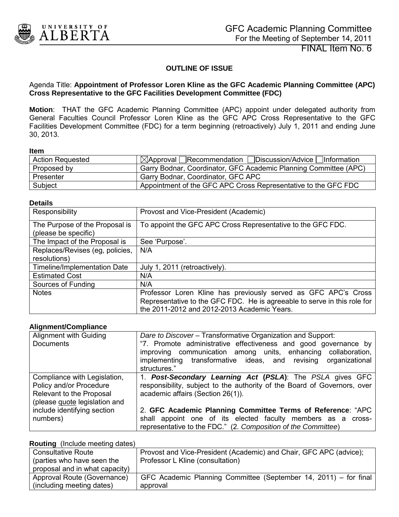<span id="page-6-0"></span>

FINAL Item No. 6

# **OUTLINE OF ISSUE**

### Agenda Title: **Appointment of Professor Loren Kline as the GFC Academic Planning Committee (APC) Cross Representative to the GFC Facilities Development Committee (FDC)**

**Motion**: THAT the GFC Academic Planning Committee (APC) appoint under delegated authority from General Faculties Council Professor Loren Kline as the GFC APC Cross Representative to the GFC Facilities Development Committee (FDC) for a term beginning (retroactively) July 1, 2011 and ending June 30, 2013.

#### **Item**

| <b>Action Requested</b> | $\boxtimes$ Approval Recommendation Discussion/Advice Information |
|-------------------------|-------------------------------------------------------------------|
| Proposed by             | Garry Bodnar, Coordinator, GFC Academic Planning Committee (APC)  |
| Presenter               | Garry Bodnar, Coordinator, GFC APC                                |
| Subject                 | Appointment of the GFC APC Cross Representative to the GFC FDC    |

#### **Details**

| Responsibility                                         | Provost and Vice-President (Academic)                                                                                                                                                     |
|--------------------------------------------------------|-------------------------------------------------------------------------------------------------------------------------------------------------------------------------------------------|
| The Purpose of the Proposal is<br>(please be specific) | To appoint the GFC APC Cross Representative to the GFC FDC.                                                                                                                               |
| The Impact of the Proposal is                          | See 'Purpose'.                                                                                                                                                                            |
| Replaces/Revises (eg, policies,<br>resolutions)        | N/A                                                                                                                                                                                       |
| Timeline/Implementation Date                           | July 1, 2011 (retroactively).                                                                                                                                                             |
| <b>Estimated Cost</b>                                  | N/A                                                                                                                                                                                       |
| Sources of Funding                                     | N/A                                                                                                                                                                                       |
| <b>Notes</b>                                           | Professor Loren Kline has previously served as GFC APC's Cross<br>Representative to the GFC FDC. He is agreeable to serve in this role for<br>the 2011-2012 and 2012-2013 Academic Years. |

#### **Alignment/Compliance**

| Alignment with Guiding        | Dare to Discover - Transformative Organization and Support:              |
|-------------------------------|--------------------------------------------------------------------------|
| <b>Documents</b>              | "7. Promote administrative effectiveness and good governance by          |
|                               | improving communication among units, enhancing<br>collaboration,         |
|                               | implementing transformative ideas, and revising organizational           |
|                               | structures."                                                             |
| Compliance with Legislation,  | 1. Post-Secondary Learning Act (PSLA): The PSLA gives GFC                |
| Policy and/or Procedure       | responsibility, subject to the authority of the Board of Governors, over |
| Relevant to the Proposal      | academic affairs (Section 26(1)).                                        |
| (please quote legislation and |                                                                          |
| include identifying section   | 2. GFC Academic Planning Committee Terms of Reference: "APC              |
| numbers)                      | shall appoint one of its elected faculty members as a cross-             |
|                               | representative to the FDC." (2. Composition of the Committee)            |

#### **Routing** (Include meeting dates)

| $1.1$ and $1.11$ and $1.11$ and $1.11$ and $1.11$ and $1.11$ and $1.11$ and $1.11$ and $1.11$ and $1.11$ and $1.11$ and $1.11$ and $1.11$ and $1.11$ and $1.11$ and $1.11$ and $1.11$ and $1.11$ and $1.11$ and $1.11$ and $1$ |                                                                    |
|--------------------------------------------------------------------------------------------------------------------------------------------------------------------------------------------------------------------------------|--------------------------------------------------------------------|
| <b>Consultative Route</b>                                                                                                                                                                                                      | Provost and Vice-President (Academic) and Chair, GFC APC (advice); |
| (parties who have seen the                                                                                                                                                                                                     | Professor L Kline (consultation)                                   |
| proposal and in what capacity)                                                                                                                                                                                                 |                                                                    |
| Approval Route (Governance)                                                                                                                                                                                                    | GFC Academic Planning Committee (September 14, 2011) – for final   |
| (including meeting dates)                                                                                                                                                                                                      | approval                                                           |